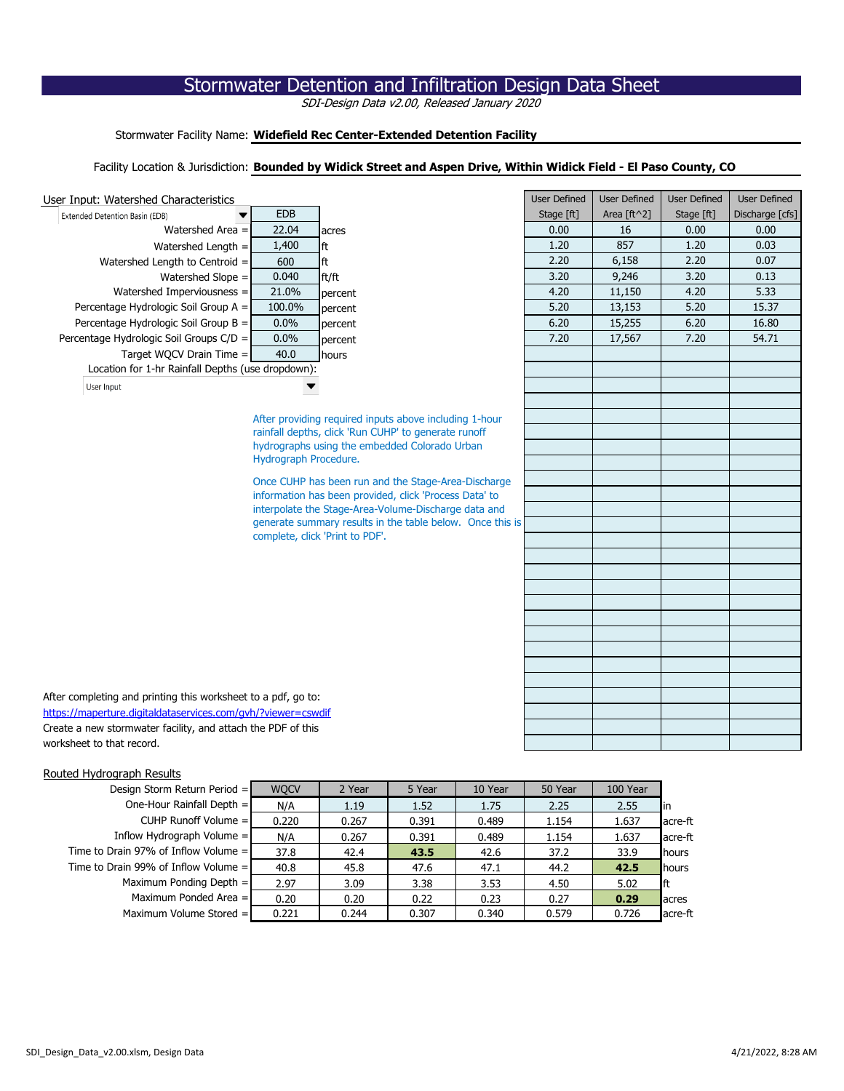# Stormwater Detention and Infiltration Design Data Sheet

SDI-Design Data v2.00, Released January 2020

Stormwater Facility Name: **Widefield Rec Center-Extended Detention Facility** 

## Facility Location & Jurisdiction: **Bounded by Widick Street and Aspen Drive, Within Widick Field - El Paso County, CO**

#### User Input: Watershed Characteristics



| d Characteristics                       |                       |                                                           | <b>User Defined</b> | <b>User Defined</b> | <b>User Defined</b> | <b>User Defined</b> |  |
|-----------------------------------------|-----------------------|-----------------------------------------------------------|---------------------|---------------------|---------------------|---------------------|--|
| (EDB)                                   | <b>EDB</b>            |                                                           | Stage [ft]          | Area [ft^2]         | Stage [ft]          | Discharge [cfs]     |  |
| Watershed Area =                        | 22.04                 | acres                                                     | 0.00                | 16                  | 0.00                | 0.00                |  |
| Watershed Length =                      | 1,400                 | ft                                                        | 1.20                | 857                 | 1.20                | 0.03                |  |
| Length to Centroid =                    | 600                   | ft                                                        | 2.20                | 6,158               | 2.20                | 0.07                |  |
| Watershed Slope =                       | 0.040                 | ft/ft                                                     | 3.20                | 9,246               | 3.20                | 0.13                |  |
| ed Imperviousness =                     | 21.0%                 | percent                                                   | 4.20                | 11,150              | 4.20                | 5.33                |  |
| ologic Soil Group A =                   | 100.0%                | percent                                                   | 5.20                | 13,153              | 5.20                | 15.37               |  |
| ologic Soil Group $B =$                 | 0.0%                  | percent                                                   | 6.20                | 15,255              | 6.20                | 16.80               |  |
| gic Soil Groups C/D =                   | 0.0%                  | percent                                                   | 7.20                | 17,567              | 7.20                | 54.71               |  |
| : WOCV Drain Time =                     | 40.0                  | hours                                                     |                     |                     |                     |                     |  |
| -hr Rainfall Depths (use dropdown):     |                       |                                                           |                     |                     |                     |                     |  |
|                                         |                       |                                                           |                     |                     |                     |                     |  |
|                                         |                       |                                                           |                     |                     |                     |                     |  |
|                                         |                       | After providing required inputs above including 1-hour    |                     |                     |                     |                     |  |
|                                         |                       | rainfall depths, click 'Run CUHP' to generate runoff      |                     |                     |                     |                     |  |
|                                         |                       | hydrographs using the embedded Colorado Urban             |                     |                     |                     |                     |  |
|                                         | Hydrograph Procedure. |                                                           |                     |                     |                     |                     |  |
|                                         |                       | Once CUHP has been run and the Stage-Area-Discharge       |                     |                     |                     |                     |  |
|                                         |                       | information has been provided, click 'Process Data' to    |                     |                     |                     |                     |  |
|                                         |                       | interpolate the Stage-Area-Volume-Discharge data and      |                     |                     |                     |                     |  |
|                                         |                       | generate summary results in the table below. Once this is |                     |                     |                     |                     |  |
|                                         |                       | complete, click 'Print to PDF'.                           |                     |                     |                     |                     |  |
|                                         |                       |                                                           |                     |                     |                     |                     |  |
|                                         |                       |                                                           |                     |                     |                     |                     |  |
|                                         |                       |                                                           |                     |                     |                     |                     |  |
|                                         |                       |                                                           |                     |                     |                     |                     |  |
|                                         |                       |                                                           |                     |                     |                     |                     |  |
|                                         |                       |                                                           |                     |                     |                     |                     |  |
|                                         |                       |                                                           |                     |                     |                     |                     |  |
|                                         |                       |                                                           |                     |                     |                     |                     |  |
|                                         |                       |                                                           |                     |                     |                     |                     |  |
| inting this worksheet to a pdf, go to:  |                       |                                                           |                     |                     |                     |                     |  |
| aldataservices.com/gvh/?viewer=cswdif   |                       |                                                           |                     |                     |                     |                     |  |
| er facility, and attach the PDF of this |                       |                                                           |                     |                     |                     |                     |  |
| d.                                      |                       |                                                           |                     |                     |                     |                     |  |

After completing and printing this worksheet to a pdf, go to: <https://maperture.digitaldataservices.com/gvh/?viewer=cswdif> Create a new stormwater facility, and attach the PDF of this worksheet to that record.

## Routed Hydrograph Results

| Design Storm Return Period $=$         | <b>WQCV</b> | 2 Year | 5 Year | 10 Year | 50 Year | 100 Year |                |
|----------------------------------------|-------------|--------|--------|---------|---------|----------|----------------|
| One-Hour Rainfall Depth $=$            | N/A         | 1.19   | 1.52   | 1.75    | 2.25    | 2.55     | In             |
| CUHP Runoff Volume $=$                 | 0.220       | 0.267  | 0.391  | 0.489   | 1.154   | 1.637    | acre-ft        |
| Inflow Hydrograph Volume $=$           | N/A         | 0.267  | 0.391  | 0.489   | 1.154   | 1.637    | acre-ft        |
| Time to Drain 97% of Inflow Volume $=$ | 37.8        | 42.4   | 43.5   | 42.6    | 37.2    | 33.9     | hours          |
| Time to Drain 99% of Inflow Volume $=$ | 40.8        | 45.8   | 47.6   | 47.1    | 44.2    | 42.5     | <b>I</b> hours |
| Maximum Ponding Depth $=$              | 2.97        | 3.09   | 3.38   | 3.53    | 4.50    | 5.02     | lft            |
| Maximum Ponded Area $=$                | 0.20        | 0.20   | 0.22   | 0.23    | 0.27    | 0.29     | <b>a</b> cres  |
| Maximum Volume Stored $=$              | 0.221       | 0.244  | 0.307  | 0.340   | 0.579   | 0.726    | acre-ft        |